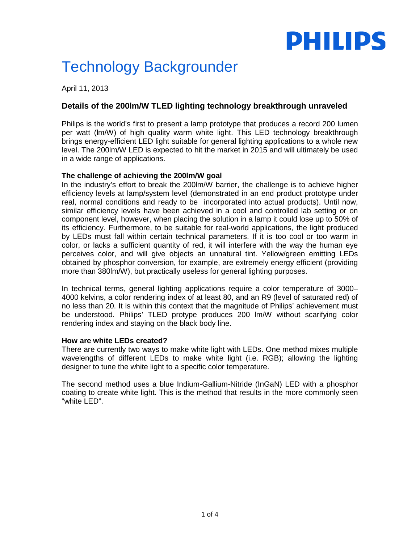# **PHILIPS**

# Technology Backgrounder

April 11, 2013

# **Details of the 200lm/W TLED lighting technology breakthrough unraveled**

Philips is the world's first to present a lamp prototype that produces a record 200 lumen per watt (lm/W) of high quality warm white light. This LED technology breakthrough brings energy-efficient LED light suitable for general lighting applications to a whole new level. The 200lm/W LED is expected to hit the market in 2015 and will ultimately be used in a wide range of applications.

# **The challenge of achieving the 200lm/W goal**

In the industry's effort to break the 200lm/W barrier, the challenge is to achieve higher efficiency levels at lamp/system level (demonstrated in an end product prototype under real, normal conditions and ready to be incorporated into actual products). Until now, similar efficiency levels have been achieved in a cool and controlled lab setting or on component level, however, when placing the solution in a lamp it could lose up to 50% of its efficiency. Furthermore, to be suitable for real-world applications, the light produced by LEDs must fall within certain technical parameters. If it is too cool or too warm in color, or lacks a sufficient quantity of red, it will interfere with the way the human eye perceives color, and will give objects an unnatural tint. Yellow/green emitting LEDs obtained by phosphor conversion, for example, are extremely energy efficient (providing more than 380lm/W), but practically useless for general lighting purposes.

In technical terms, general lighting applications require a color temperature of 3000– 4000 kelvins, a color rendering index of at least 80, and an R9 (level of saturated red) of no less than 20. It is within this context that the magnitude of Philips' achievement must be understood. Philips' TLED protype produces 200 lm/W without scarifying color rendering index and staying on the black body line.

# **How are white LEDs created?**

There are currently two ways to make white light with LEDs. One method mixes multiple wavelengths of different LEDs to make white light (i.e. RGB); allowing the lighting designer to tune the white light to a specific color temperature.

The second method uses a blue Indium-Gallium-Nitride (InGaN) LED with a phosphor coating to create white light. This is the method that results in the more commonly seen "white LED".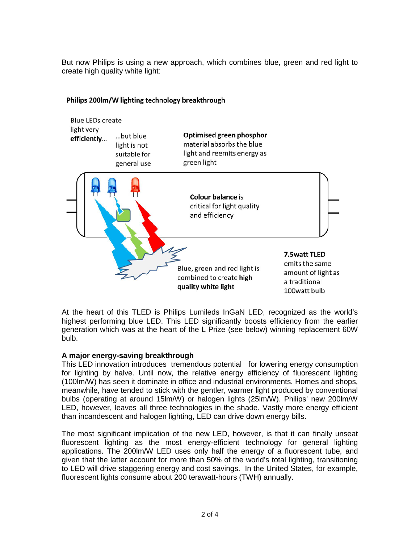But now Philips is using a new approach, which combines blue, green and red light to create high quality white light:



#### Philips 200lm/W lighting technology breakthrough

At the heart of this TLED is Philips Lumileds InGaN LED, recognized as the world's highest performing blue LED. This LED significantly boosts efficiency from the earlier generation which was at the heart of the L Prize (see below) winning replacement 60W bulb.

# **A major energy-saving breakthrough**

This LED innovation introduces tremendous potential for lowering energy consumption for lighting by halve. Until now, the relative energy efficiency of fluorescent lighting (100lm/W) has seen it dominate in office and industrial environments. Homes and shops, meanwhile, have tended to stick with the gentler, warmer light produced by conventional bulbs (operating at around 15lm/W) or halogen lights (25lm/W). Philips' new 200lm/W LED, however, leaves all three technologies in the shade. Vastly more energy efficient than incandescent and halogen lighting, LED can drive down energy bills.

The most significant implication of the new LED, however, is that it can finally unseat fluorescent lighting as the most energy-efficient technology for general lighting applications. The 200lm/W LED uses only half the energy of a fluorescent tube, and given that the latter account for more than 50% of the world's total lighting, transitioning to LED will drive staggering energy and cost savings. In the United States, for example, fluorescent lights consume about 200 terawatt-hours (TWH) annually.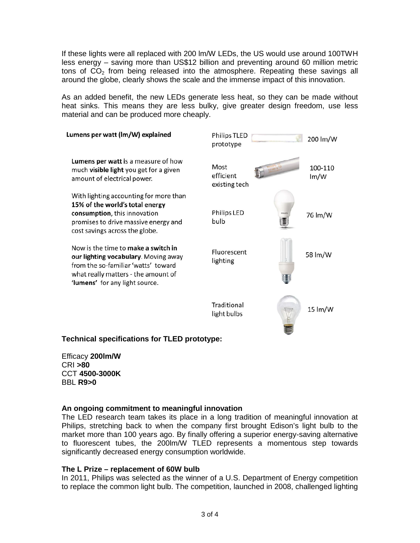If these lights were all replaced with 200 lm/W LEDs, the US would use around 100TWH less energy – saving more than US\$12 billion and preventing around 60 million metric tons of  $CO<sub>2</sub>$  from being released into the atmosphere. Repeating these savings all around the globe, clearly shows the scale and the immense impact of this innovation.

As an added benefit, the new LEDs generate less heat, so they can be made without heat sinks. This means they are less bulky, give greater design freedom, use less material and can be produced more cheaply.



# **Technical specifications for TLED prototype:**

Efficacy **200lm/W** CRI **>80** CCT **4500-3000K** BBL **R9>0**

#### **An ongoing commitment to meaningful innovation**

The LED research team takes its place in a long tradition of meaningful innovation at Philips, stretching back to when the company first brought Edison's light bulb to the market more than 100 years ago. By finally offering a superior energy-saving alternative to fluorescent tubes, the 200lm/W TLED represents a momentous step towards significantly decreased energy consumption worldwide.

#### **The L Prize – replacement of 60W bulb**

In 2011, Philips was selected as the winner of a U.S. Department of Energy competition to replace the common light bulb. The competition, launched in 2008, challenged lighting